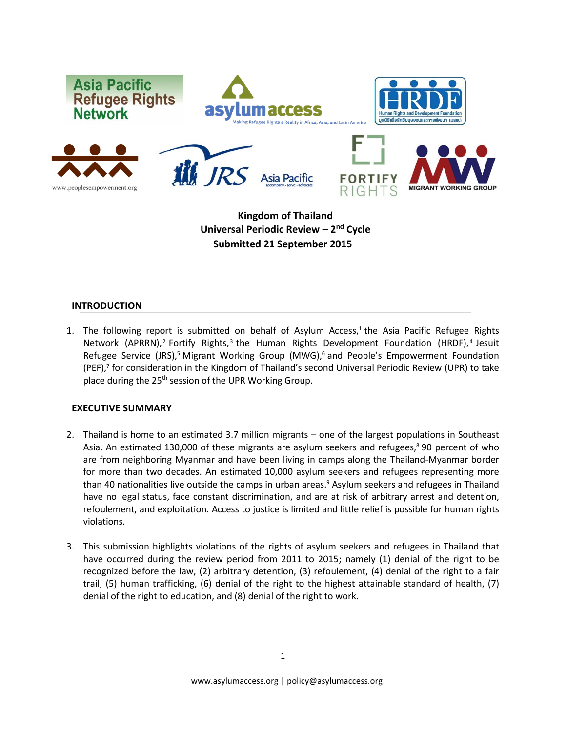

**Kingdom of Thailand Universal Periodic Review – 2 nd Cycle Submitted 21 September 2015**

### **INTRODUCTION**

1. The following report is submitted on behalf of Asylum Access,<sup>1</sup> the Asia Pacific Refugee Rights Network (APRRN),<sup>2</sup> Fortify Rights,<sup>3</sup> the Human Rights Development Foundation (HRDF),<sup>4</sup> Jesuit Refugee Service (JRS),<sup>5</sup> Migrant Working Group (MWG),<sup>6</sup> and People's Empowerment Foundation (PEF), 7 for consideration in the Kingdom of Thailand's second Universal Periodic Review (UPR) to take place during the 25<sup>th</sup> session of the UPR Working Group.

## **EXECUTIVE SUMMARY**

- 2. Thailand is home to an estimated 3.7 million migrants one of the largest populations in Southeast Asia. An estimated 130,000 of these migrants are asylum seekers and refugees, <sup>8</sup> 90 percent of who are from neighboring Myanmar and have been living in camps along the Thailand-Myanmar border for more than two decades. An estimated 10,000 asylum seekers and refugees representing more than 40 nationalities live outside the camps in urban areas. <sup>9</sup> Asylum seekers and refugees in Thailand have no legal status, face constant discrimination, and are at risk of arbitrary arrest and detention, refoulement, and exploitation. Access to justice is limited and little relief is possible for human rights violations.
- 3. This submission highlights violations of the rights of asylum seekers and refugees in Thailand that have occurred during the review period from 2011 to 2015; namely (1) denial of the right to be recognized before the law, (2) arbitrary detention, (3) refoulement, (4) denial of the right to a fair trail, (5) human trafficking, (6) denial of the right to the highest attainable standard of health, (7) denial of the right to education, and (8) denial of the right to work.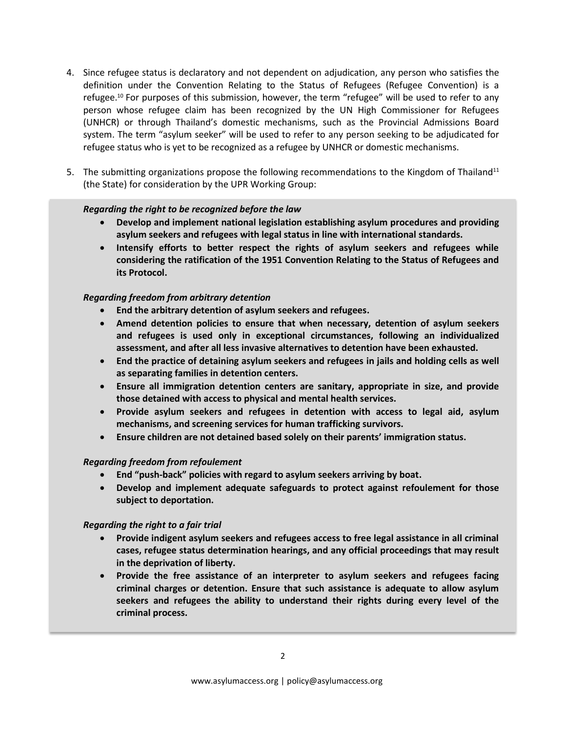- 4. Since refugee status is declaratory and not dependent on adjudication, any person who satisfies the definition under the Convention Relating to the Status of Refugees (Refugee Convention) is a refugee.<sup>10</sup> For purposes of this submission, however, the term "refugee" will be used to refer to any person whose refugee claim has been recognized by the UN High Commissioner for Refugees (UNHCR) or through Thailand's domestic mechanisms, such as the Provincial Admissions Board system. The term "asylum seeker" will be used to refer to any person seeking to be adjudicated for refugee status who is yet to be recognized as a refugee by UNHCR or domestic mechanisms.
- 5. The submitting organizations propose the following recommendations to the Kingdom of Thailand<sup>11</sup> (the State) for consideration by the UPR Working Group:

### *Regarding the right to be recognized before the law*

- **Develop and implement national legislation establishing asylum procedures and providing asylum seekers and refugees with legal status in line with international standards.**
- **Intensify efforts to better respect the rights of asylum seekers and refugees while considering the ratification of the 1951 Convention Relating to the Status of Refugees and its Protocol.**

## *Regarding freedom from arbitrary detention*

- **End the arbitrary detention of asylum seekers and refugees.**
- **Amend detention policies to ensure that when necessary, detention of asylum seekers and refugees is used only in exceptional circumstances, following an individualized assessment, and after all less invasive alternatives to detention have been exhausted.**
- **End the practice of detaining asylum seekers and refugees in jails and holding cells as well as separating families in detention centers.**
- **Ensure all immigration detention centers are sanitary, appropriate in size, and provide those detained with access to physical and mental health services.**
- **Provide asylum seekers and refugees in detention with access to legal aid, asylum mechanisms, and screening services for human trafficking survivors.**
- **Ensure children are not detained based solely on their parents' immigration status.**

## *Regarding freedom from refoulement*

- **End "push-back" policies with regard to asylum seekers arriving by boat.**
- **Develop and implement adequate safeguards to protect against refoulement for those subject to deportation.**

## *Regarding the right to a fair trial*

- **Provide indigent asylum seekers and refugees access to free legal assistance in all criminal cases, refugee status determination hearings, and any official proceedings that may result in the deprivation of liberty.**
- **Provide the free assistance of an interpreter to asylum seekers and refugees facing criminal charges or detention. Ensure that such assistance is adequate to allow asylum seekers and refugees the ability to understand their rights during every level of the criminal process.**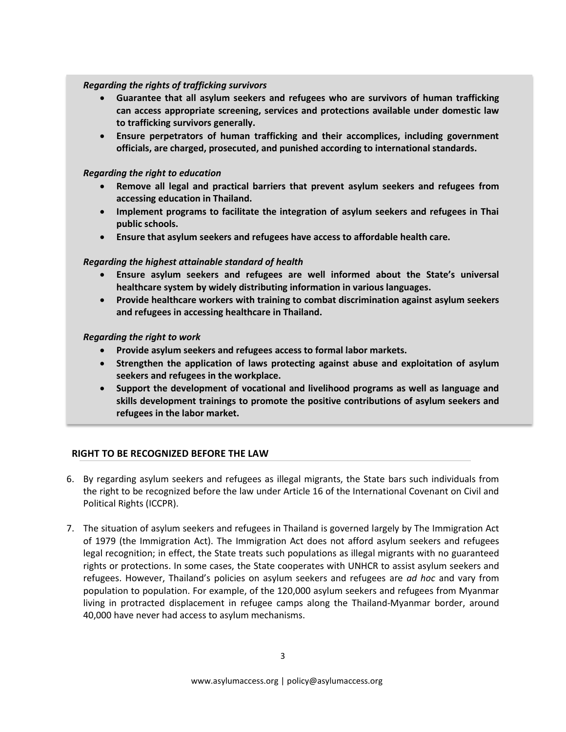## *Regarding the rights of trafficking survivors*

- **Guarantee that all asylum seekers and refugees who are survivors of human trafficking can access appropriate screening, services and protections available under domestic law to trafficking survivors generally.**
- **Ensure perpetrators of human trafficking and their accomplices, including government officials, are charged, prosecuted, and punished according to international standards.**

### *Regarding the right to education*

- **Remove all legal and practical barriers that prevent asylum seekers and refugees from accessing education in Thailand.**
- **Implement programs to facilitate the integration of asylum seekers and refugees in Thai public schools.**
- **Ensure that asylum seekers and refugees have access to affordable health care.**

## *Regarding the highest attainable standard of health*

- **Ensure asylum seekers and refugees are well informed about the State's universal healthcare system by widely distributing information in various languages.**
- **Provide healthcare workers with training to combat discrimination against asylum seekers and refugees in accessing healthcare in Thailand.**

### *Regarding the right to work*

- **Provide asylum seekers and refugees access to formal labor markets.**
- **Strengthen the application of laws protecting against abuse and exploitation of asylum seekers and refugees in the workplace.**
- **Support the development of vocational and livelihood programs as well as language and skills development trainings to promote the positive contributions of asylum seekers and refugees in the labor market.**

## **RIGHT TO BE RECOGNIZED BEFORE THE LAW**

- 6. By regarding asylum seekers and refugees as illegal migrants, the State bars such individuals from the right to be recognized before the law under Article 16 of the International Covenant on Civil and Political Rights (ICCPR).
- 7. The situation of asylum seekers and refugees in Thailand is governed largely by The Immigration Act of 1979 (the Immigration Act). The Immigration Act does not afford asylum seekers and refugees legal recognition; in effect, the State treats such populations as illegal migrants with no guaranteed rights or protections. In some cases, the State cooperates with UNHCR to assist asylum seekers and refugees. However, Thailand's policies on asylum seekers and refugees are *ad hoc* and vary from population to population. For example, of the 120,000 asylum seekers and refugees from Myanmar living in protracted displacement in refugee camps along the Thailand-Myanmar border, around 40,000 have never had access to asylum mechanisms.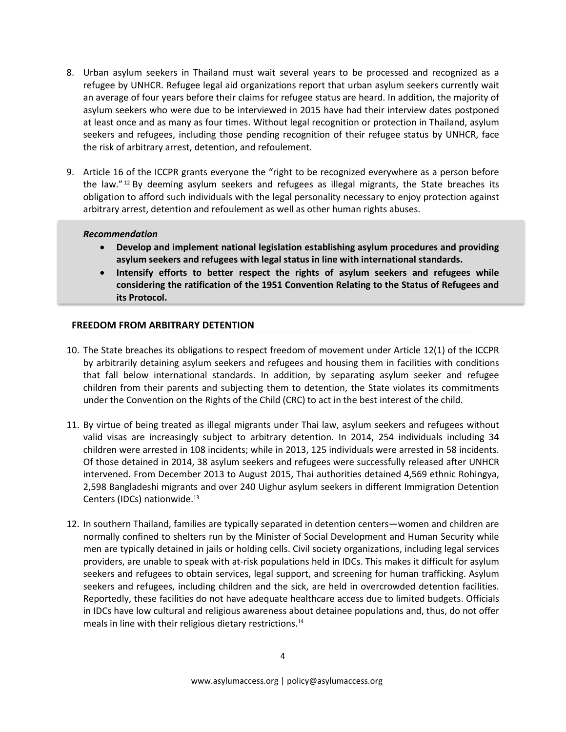- 8. Urban asylum seekers in Thailand must wait several years to be processed and recognized as a refugee by UNHCR. Refugee legal aid organizations report that urban asylum seekers currently wait an average of four years before their claims for refugee status are heard. In addition, the majority of asylum seekers who were due to be interviewed in 2015 have had their interview dates postponed at least once and as many as four times. Without legal recognition or protection in Thailand, asylum seekers and refugees, including those pending recognition of their refugee status by UNHCR, face the risk of arbitrary arrest, detention, and refoulement.
- 9. Article 16 of the ICCPR grants everyone the "right to be recognized everywhere as a person before the law."<sup>12</sup> By deeming asylum seekers and refugees as illegal migrants, the State breaches its obligation to afford such individuals with the legal personality necessary to enjoy protection against arbitrary arrest, detention and refoulement as well as other human rights abuses.

### *Recommendation*

- **Develop and implement national legislation establishing asylum procedures and providing asylum seekers and refugees with legal status in line with international standards.**
- **Intensify efforts to better respect the rights of asylum seekers and refugees while considering the ratification of the 1951 Convention Relating to the Status of Refugees and its Protocol.**

## **FREEDOM FROM ARBITRARY DETENTION**

- 10. The State breaches its obligations to respect freedom of movement under Article 12(1) of the ICCPR by arbitrarily detaining asylum seekers and refugees and housing them in facilities with conditions that fall below international standards. In addition, by separating asylum seeker and refugee children from their parents and subjecting them to detention, the State violates its commitments under the Convention on the Rights of the Child (CRC) to act in the best interest of the child.
- 11. By virtue of being treated as illegal migrants under Thai law, asylum seekers and refugees without valid visas are increasingly subject to arbitrary detention. In 2014, 254 individuals including 34 children were arrested in 108 incidents; while in 2013, 125 individuals were arrested in 58 incidents. Of those detained in 2014, 38 asylum seekers and refugees were successfully released after UNHCR intervened. From December 2013 to August 2015, Thai authorities detained 4,569 ethnic Rohingya, 2,598 Bangladeshi migrants and over 240 Uighur asylum seekers in different Immigration Detention Centers (IDCs) nationwide.<sup>13</sup>
- 12. In southern Thailand, families are typically separated in detention centers—women and children are normally confined to shelters run by the Minister of Social Development and Human Security while men are typically detained in jails or holding cells. Civil society organizations, including legal services providers, are unable to speak with at-risk populations held in IDCs. This makes it difficult for asylum seekers and refugees to obtain services, legal support, and screening for human trafficking. Asylum seekers and refugees, including children and the sick, are held in overcrowded detention facilities. Reportedly, these facilities do not have adequate healthcare access due to limited budgets. Officials in IDCs have low cultural and religious awareness about detainee populations and, thus, do not offer meals in line with their religious dietary restrictions. 14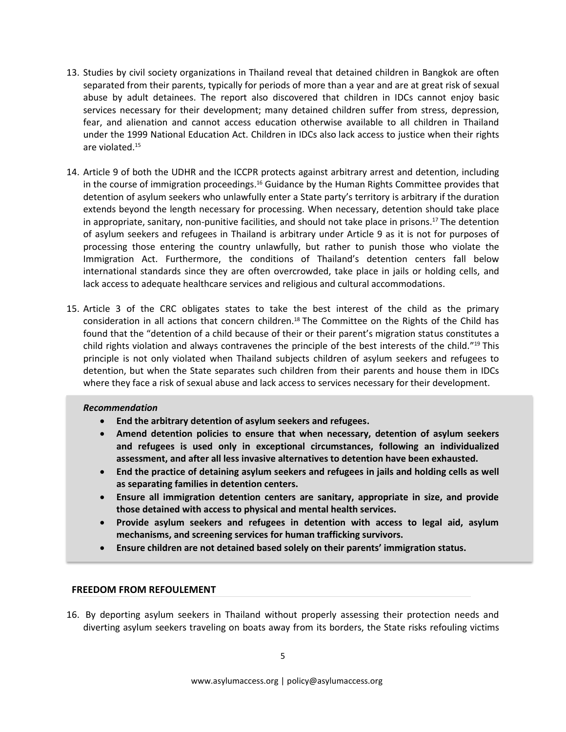- 13. Studies by civil society organizations in Thailand reveal that detained children in Bangkok are often separated from their parents, typically for periods of more than a year and are at great risk of sexual abuse by adult detainees. The report also discovered that children in IDCs cannot enjoy basic services necessary for their development; many detained children suffer from stress, depression, fear, and alienation and cannot access education otherwise available to all children in Thailand under the 1999 National Education Act. Children in IDCs also lack access to justice when their rights are violated.<sup>15</sup>
- 14. Article 9 of both the UDHR and the ICCPR protects against arbitrary arrest and detention, including in the course of immigration proceedings.<sup>16</sup> Guidance by the Human Rights Committee provides that detention of asylum seekers who unlawfully enter a State party's territory is arbitrary if the duration extends beyond the length necessary for processing. When necessary, detention should take place in appropriate, sanitary, non-punitive facilities, and should not take place in prisons.<sup>17</sup> The detention of asylum seekers and refugees in Thailand is arbitrary under Article 9 as it is not for purposes of processing those entering the country unlawfully, but rather to punish those who violate the Immigration Act. Furthermore, the conditions of Thailand's detention centers fall below international standards since they are often overcrowded, take place in jails or holding cells, and lack access to adequate healthcare services and religious and cultural accommodations.
- 15. Article 3 of the CRC obligates states to take the best interest of the child as the primary consideration in all actions that concern children.<sup>18</sup> The Committee on the Rights of the Child has found that the "detention of a child because of their or their parent's migration status constitutes a child rights violation and always contravenes the principle of the best interests of the child."<sup>19</sup> This principle is not only violated when Thailand subjects children of asylum seekers and refugees to detention, but when the State separates such children from their parents and house them in IDCs where they face a risk of sexual abuse and lack access to services necessary for their development.

#### *Recommendation*

- **End the arbitrary detention of asylum seekers and refugees.**
- **Amend detention policies to ensure that when necessary, detention of asylum seekers and refugees is used only in exceptional circumstances, following an individualized assessment, and after all less invasive alternatives to detention have been exhausted.**
- **End the practice of detaining asylum seekers and refugees in jails and holding cells as well as separating families in detention centers.**
- **Ensure all immigration detention centers are sanitary, appropriate in size, and provide those detained with access to physical and mental health services.**
- **Provide asylum seekers and refugees in detention with access to legal aid, asylum mechanisms, and screening services for human trafficking survivors.**
- **Ensure children are not detained based solely on their parents' immigration status.**

## **FREEDOM FROM REFOULEMENT**

16. By deporting asylum seekers in Thailand without properly assessing their protection needs and diverting asylum seekers traveling on boats away from its borders, the State risks refouling victims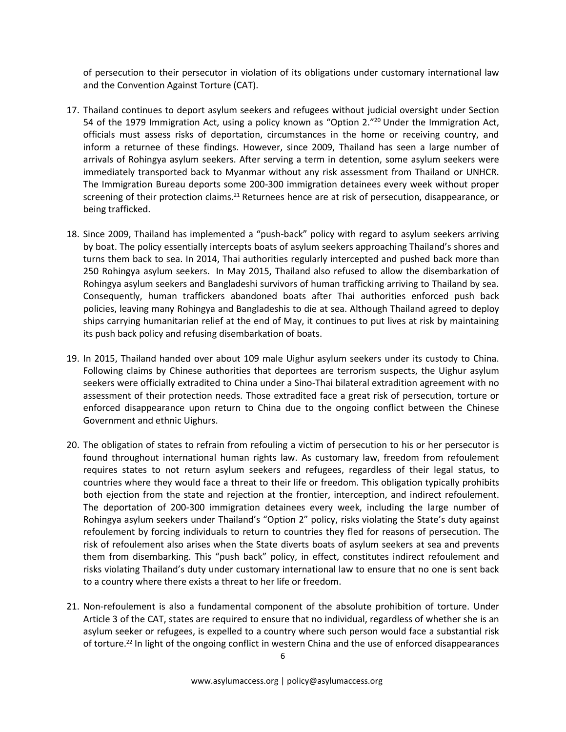of persecution to their persecutor in violation of its obligations under customary international law and the Convention Against Torture (CAT).

- 17. Thailand continues to deport asylum seekers and refugees without judicial oversight under Section 54 of the 1979 Immigration Act, using a policy known as "Option 2."<sup>20</sup> Under the Immigration Act, officials must assess risks of deportation, circumstances in the home or receiving country, and inform a returnee of these findings. However, since 2009, Thailand has seen a large number of arrivals of Rohingya asylum seekers. After serving a term in detention, some asylum seekers were immediately transported back to Myanmar without any risk assessment from Thailand or UNHCR. The Immigration Bureau deports some 200-300 immigration detainees every week without proper screening of their protection claims.<sup>21</sup> Returnees hence are at risk of persecution, disappearance, or being trafficked.
- 18. Since 2009, Thailand has implemented a "push-back" policy with regard to asylum seekers arriving by boat. The policy essentially intercepts boats of asylum seekers approaching Thailand's shores and turns them back to sea. In 2014, Thai authorities regularly intercepted and pushed back more than 250 Rohingya asylum seekers. In May 2015, Thailand also refused to allow the disembarkation of Rohingya asylum seekers and Bangladeshi survivors of human trafficking arriving to Thailand by sea. Consequently, human traffickers abandoned boats after Thai authorities enforced push back policies, leaving many Rohingya and Bangladeshis to die at sea. Although Thailand agreed to deploy ships carrying humanitarian relief at the end of May, it continues to put lives at risk by maintaining its push back policy and refusing disembarkation of boats.
- 19. In 2015, Thailand handed over about 109 male Uighur asylum seekers under its custody to China. Following claims by Chinese authorities that deportees are terrorism suspects, the Uighur asylum seekers were officially extradited to China under a Sino-Thai bilateral extradition agreement with no assessment of their protection needs. Those extradited face a great risk of persecution, torture or enforced disappearance upon return to China due to the ongoing conflict between the Chinese Government and ethnic Uighurs.
- 20. The obligation of states to refrain from refouling a victim of persecution to his or her persecutor is found throughout international human rights law. As customary law, freedom from refoulement requires states to not return asylum seekers and refugees, regardless of their legal status, to countries where they would face a threat to their life or freedom. This obligation typically prohibits both ejection from the state and rejection at the frontier, interception, and indirect refoulement. The deportation of 200-300 immigration detainees every week, including the large number of Rohingya asylum seekers under Thailand's "Option 2" policy, risks violating the State's duty against refoulement by forcing individuals to return to countries they fled for reasons of persecution. The risk of refoulement also arises when the State diverts boats of asylum seekers at sea and prevents them from disembarking. This "push back" policy, in effect, constitutes indirect refoulement and risks violating Thailand's duty under customary international law to ensure that no one is sent back to a country where there exists a threat to her life or freedom.
- 21. Non-refoulement is also a fundamental component of the absolute prohibition of torture. Under Article 3 of the CAT, states are required to ensure that no individual, regardless of whether she is an asylum seeker or refugees, is expelled to a country where such person would face a substantial risk of torture.<sup>22</sup> In light of the ongoing conflict in western China and the use of enforced disappearances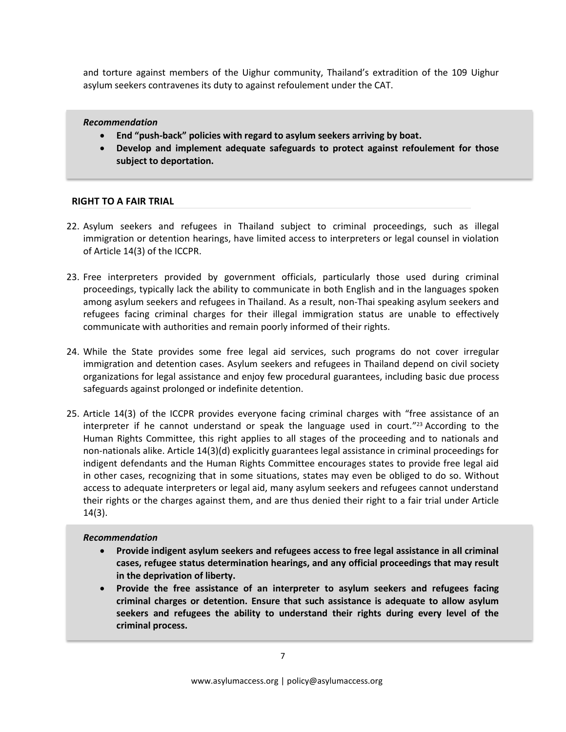and torture against members of the Uighur community, Thailand's extradition of the 109 Uighur asylum seekers contravenes its duty to against refoulement under the CAT.

#### *Recommendation*

- **End "push-back" policies with regard to asylum seekers arriving by boat.**
- **Develop and implement adequate safeguards to protect against refoulement for those subject to deportation.**

## **RIGHT TO A FAIR TRIAL**

- 22. Asylum seekers and refugees in Thailand subject to criminal proceedings, such as illegal immigration or detention hearings, have limited access to interpreters or legal counsel in violation of Article 14(3) of the ICCPR.
- 23. Free interpreters provided by government officials, particularly those used during criminal proceedings, typically lack the ability to communicate in both English and in the languages spoken among asylum seekers and refugees in Thailand. As a result, non-Thai speaking asylum seekers and refugees facing criminal charges for their illegal immigration status are unable to effectively communicate with authorities and remain poorly informed of their rights.
- 24. While the State provides some free legal aid services, such programs do not cover irregular immigration and detention cases. Asylum seekers and refugees in Thailand depend on civil society organizations for legal assistance and enjoy few procedural guarantees, including basic due process safeguards against prolonged or indefinite detention.
- 25. Article 14(3) of the ICCPR provides everyone facing criminal charges with "free assistance of an interpreter if he cannot understand or speak the language used in court." <sup>23</sup> According to the Human Rights Committee, this right applies to all stages of the proceeding and to nationals and non-nationals alike. Article 14(3)(d) explicitly guarantees legal assistance in criminal proceedings for indigent defendants and the Human Rights Committee encourages states to provide free legal aid in other cases, recognizing that in some situations, states may even be obliged to do so. Without access to adequate interpreters or legal aid, many asylum seekers and refugees cannot understand their rights or the charges against them, and are thus denied their right to a fair trial under Article 14(3).

#### *Recommendation*

- **Provide indigent asylum seekers and refugees access to free legal assistance in all criminal cases, refugee status determination hearings, and any official proceedings that may result in the deprivation of liberty.**
- **Provide the free assistance of an interpreter to asylum seekers and refugees facing criminal charges or detention. Ensure that such assistance is adequate to allow asylum seekers and refugees the ability to understand their rights during every level of the criminal process.**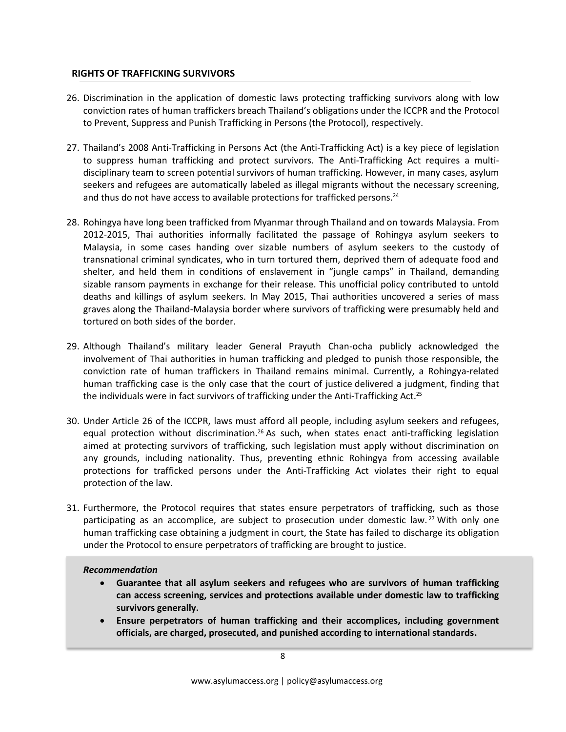## **RIGHTS OF TRAFFICKING SURVIVORS**

- 26. Discrimination in the application of domestic laws protecting trafficking survivors along with low conviction rates of human traffickers breach Thailand's obligations under the ICCPR and the Protocol to Prevent, Suppress and Punish Trafficking in Persons (the Protocol), respectively.
- 27. Thailand's 2008 Anti-Trafficking in Persons Act (the Anti-Trafficking Act) is a key piece of legislation to suppress human trafficking and protect survivors. The Anti-Trafficking Act requires a multidisciplinary team to screen potential survivors of human trafficking. However, in many cases, asylum seekers and refugees are automatically labeled as illegal migrants without the necessary screening, and thus do not have access to available protections for trafficked persons.<sup>24</sup>
- 28. Rohingya have long been trafficked from Myanmar through Thailand and on towards Malaysia. From 2012-2015, Thai authorities informally facilitated the passage of Rohingya asylum seekers to Malaysia, in some cases handing over sizable numbers of asylum seekers to the custody of transnational criminal syndicates, who in turn tortured them, deprived them of adequate food and shelter, and held them in conditions of enslavement in "jungle camps" in Thailand, demanding sizable ransom payments in exchange for their release. This unofficial policy contributed to untold deaths and killings of asylum seekers. In May 2015, Thai authorities uncovered a series of mass graves along the Thailand-Malaysia border where survivors of trafficking were presumably held and tortured on both sides of the border.
- 29. Although Thailand's military leader General Prayuth Chan-ocha publicly acknowledged the involvement of Thai authorities in human trafficking and pledged to punish those responsible, the conviction rate of human traffickers in Thailand remains minimal. Currently, a Rohingya-related human trafficking case is the only case that the court of justice delivered a judgment, finding that the individuals were in fact survivors of trafficking under the Anti-Trafficking Act.<sup>25</sup>
- 30. Under Article 26 of the ICCPR, laws must afford all people, including asylum seekers and refugees, equal protection without discrimination.<sup>26</sup> As such, when states enact anti-trafficking legislation aimed at protecting survivors of trafficking, such legislation must apply without discrimination on any grounds, including nationality. Thus, preventing ethnic Rohingya from accessing available protections for trafficked persons under the Anti-Trafficking Act violates their right to equal protection of the law.
- 31. Furthermore, the Protocol requires that states ensure perpetrators of trafficking, such as those participating as an accomplice, are subject to prosecution under domestic law.<sup>27</sup> With only one human trafficking case obtaining a judgment in court, the State has failed to discharge its obligation under the Protocol to ensure perpetrators of trafficking are brought to justice.

# *Recommendation*

- **Guarantee that all asylum seekers and refugees who are survivors of human trafficking can access screening, services and protections available under domestic law to trafficking survivors generally.**
- **Ensure perpetrators of human trafficking and their accomplices, including government officials, are charged, prosecuted, and punished according to international standards.**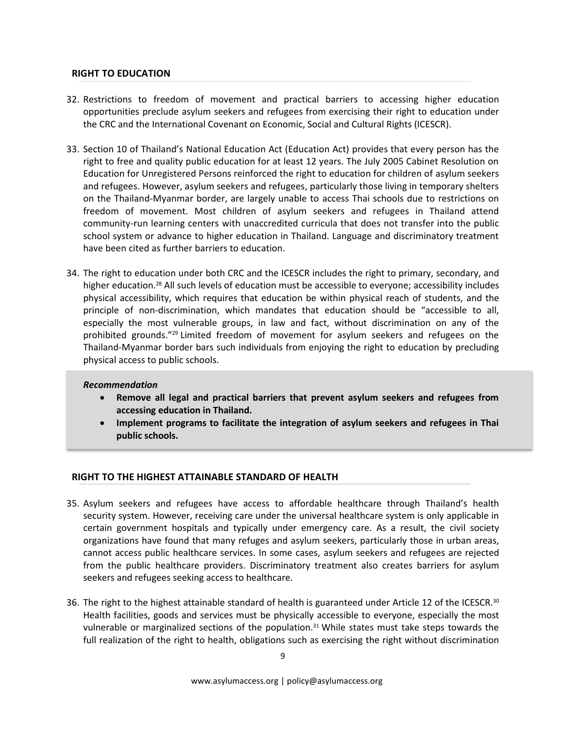### **RIGHT TO EDUCATION**

- 32. Restrictions to freedom of movement and practical barriers to accessing higher education opportunities preclude asylum seekers and refugees from exercising their right to education under the CRC and the International Covenant on Economic, Social and Cultural Rights (ICESCR).
- 33. Section 10 of Thailand's National Education Act (Education Act) provides that every person has the right to free and quality public education for at least 12 years. The July 2005 Cabinet Resolution on Education for Unregistered Persons reinforced the right to education for children of asylum seekers and refugees. However, asylum seekers and refugees, particularly those living in temporary shelters on the Thailand-Myanmar border, are largely unable to access Thai schools due to restrictions on freedom of movement. Most children of asylum seekers and refugees in Thailand attend community-run learning centers with unaccredited curricula that does not transfer into the public school system or advance to higher education in Thailand. Language and discriminatory treatment have been cited as further barriers to education.
- 34. The right to education under both CRC and the ICESCR includes the right to primary, secondary, and higher education.<sup>28</sup> All such levels of education must be accessible to everyone; accessibility includes physical accessibility, which requires that education be within physical reach of students, and the principle of non-discrimination, which mandates that education should be "accessible to all, especially the most vulnerable groups, in law and fact, without discrimination on any of the prohibited grounds."<sup>29</sup> Limited freedom of movement for asylum seekers and refugees on the Thailand-Myanmar border bars such individuals from enjoying the right to education by precluding physical access to public schools.

#### *Recommendation*

- **Remove all legal and practical barriers that prevent asylum seekers and refugees from accessing education in Thailand.**
- **Implement programs to facilitate the integration of asylum seekers and refugees in Thai public schools.**

#### **RIGHT TO THE HIGHEST ATTAINABLE STANDARD OF HEALTH**

- 35. Asylum seekers and refugees have access to affordable healthcare through Thailand's health security system. However, receiving care under the universal healthcare system is only applicable in certain government hospitals and typically under emergency care. As a result, the civil society organizations have found that many refuges and asylum seekers, particularly those in urban areas, cannot access public healthcare services. In some cases, asylum seekers and refugees are rejected from the public healthcare providers. Discriminatory treatment also creates barriers for asylum seekers and refugees seeking access to healthcare.
- 36. The right to the highest attainable standard of health is guaranteed under Article 12 of the ICESCR.<sup>30</sup> Health facilities, goods and services must be physically accessible to everyone, especially the most vulnerable or marginalized sections of the population.<sup>31</sup> While states must take steps towards the full realization of the right to health, obligations such as exercising the right without discrimination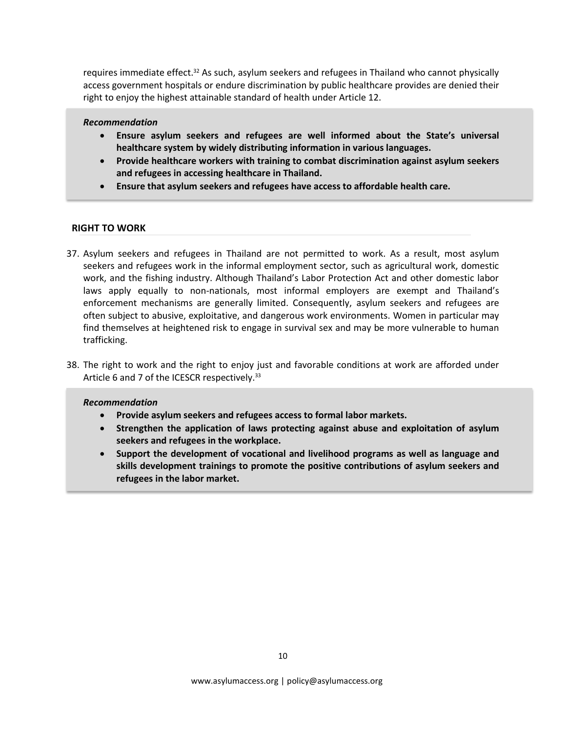requires immediate effect.<sup>32</sup> As such, asylum seekers and refugees in Thailand who cannot physically access government hospitals or endure discrimination by public healthcare provides are denied their right to enjoy the highest attainable standard of health under Article 12.

#### *Recommendation*

- **Ensure asylum seekers and refugees are well informed about the State's universal healthcare system by widely distributing information in various languages.**
- **Provide healthcare workers with training to combat discrimination against asylum seekers and refugees in accessing healthcare in Thailand.**
- **Ensure that asylum seekers and refugees have access to affordable health care.**

#### **RIGHT TO WORK**

- 37. Asylum seekers and refugees in Thailand are not permitted to work. As a result, most asylum seekers and refugees work in the informal employment sector, such as agricultural work, domestic work, and the fishing industry. Although Thailand's Labor Protection Act and other domestic labor laws apply equally to non-nationals, most informal employers are exempt and Thailand's enforcement mechanisms are generally limited. Consequently, asylum seekers and refugees are often subject to abusive, exploitative, and dangerous work environments. Women in particular may find themselves at heightened risk to engage in survival sex and may be more vulnerable to human trafficking.
- 38. The right to work and the right to enjoy just and favorable conditions at work are afforded under Article 6 and 7 of the ICESCR respectively.<sup>33</sup>

#### *Recommendation*

- **Provide asylum seekers and refugees access to formal labor markets.**
- **Strengthen the application of laws protecting against abuse and exploitation of asylum seekers and refugees in the workplace.**
- **Support the development of vocational and livelihood programs as well as language and skills development trainings to promote the positive contributions of asylum seekers and refugees in the labor market.**